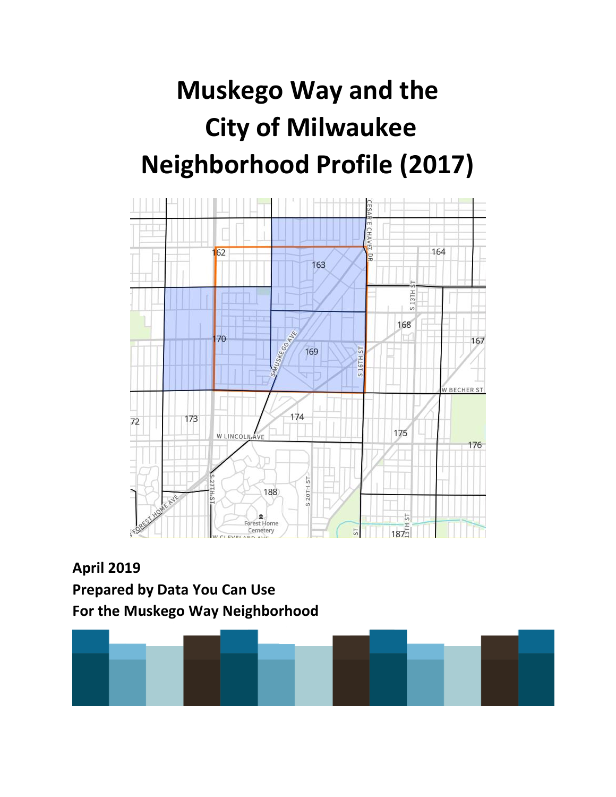# **Muskego Way and the City of Milwaukee Neighborhood Profile (2017)**



**April 2019 Prepared by Data You Can Use For the Muskego Way Neighborhood**

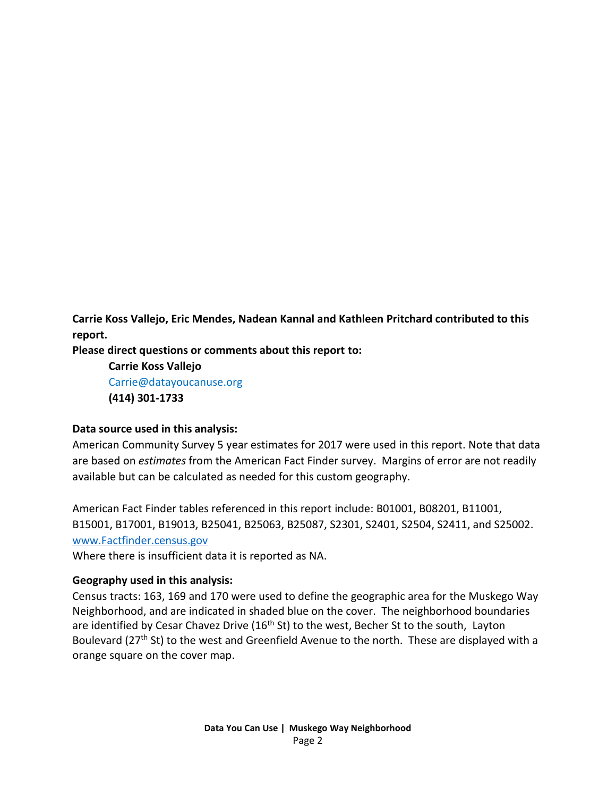**Carrie Koss Vallejo, Eric Mendes, Nadean Kannal and Kathleen Pritchard contributed to this report.** 

**Please direct questions or comments about this report to:**

**Carrie Koss Vallejo** Carrie@datayoucanuse.org **(414) 301-1733**

#### **Data source used in this analysis:**

American Community Survey 5 year estimates for 2017 were used in this report. Note that data are based on *estimates* from the American Fact Finder survey. Margins of error are not readily available but can be calculated as needed for this custom geography.

American Fact Finder tables referenced in this report include: B01001, B08201, B11001, B15001, B17001, B19013, B25041, B25063, B25087, S2301, S2401, S2504, S2411, and S25002. [www.Factfinder.census.gov](http://www.factfinder.census.gov/) 

Where there is insufficient data it is reported as NA.

#### **Geography used in this analysis:**

Census tracts: 163, 169 and 170 were used to define the geographic area for the Muskego Way Neighborhood, and are indicated in shaded blue on the cover. The neighborhood boundaries are identified by Cesar Chavez Drive (16<sup>th</sup> St) to the west, Becher St to the south, Layton Boulevard (27<sup>th</sup> St) to the west and Greenfield Avenue to the north. These are displayed with a orange square on the cover map.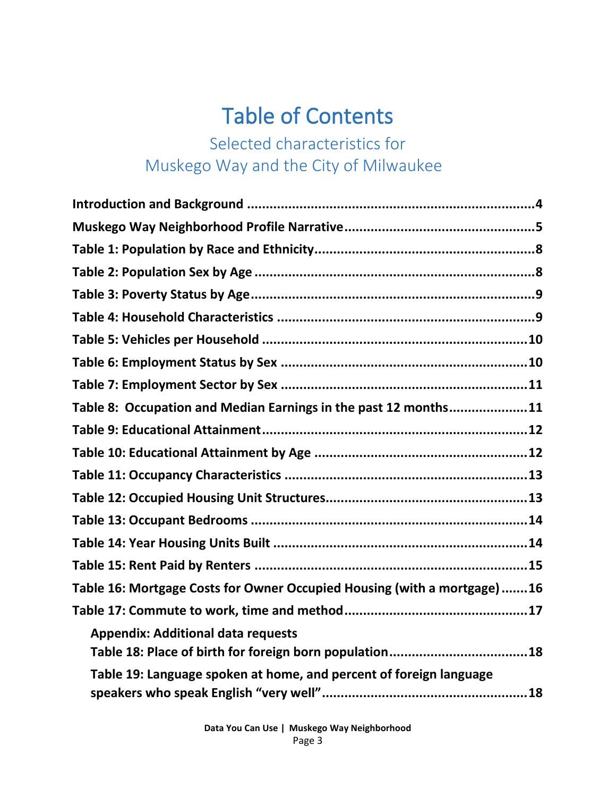## Table of Contents

## Selected characteristics for Muskego Way and the City of Milwaukee

| Table 8: Occupation and Median Earnings in the past 12 months11         |
|-------------------------------------------------------------------------|
|                                                                         |
|                                                                         |
|                                                                         |
|                                                                         |
|                                                                         |
|                                                                         |
|                                                                         |
| Table 16: Mortgage Costs for Owner Occupied Housing (with a mortgage)16 |
|                                                                         |
| <b>Appendix: Additional data requests</b>                               |
| Table 19: Language spoken at home, and percent of foreign language      |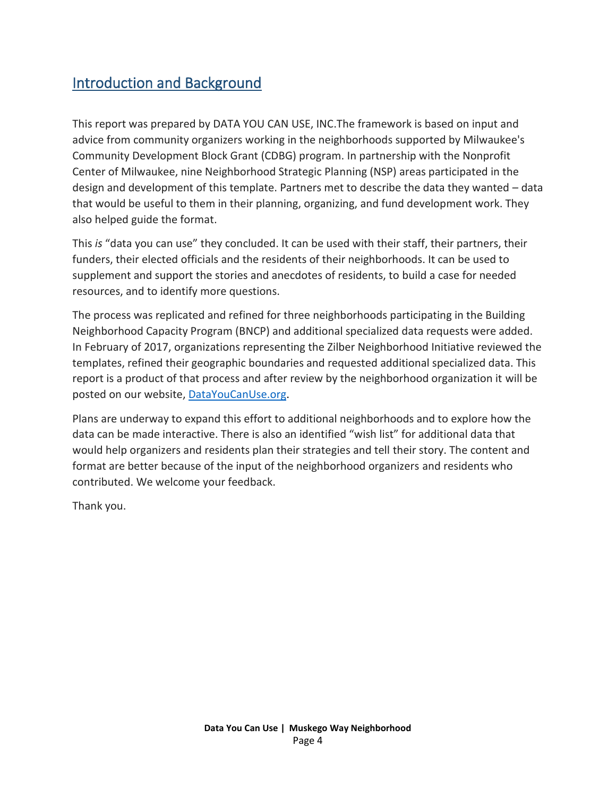#### <span id="page-3-0"></span>Introduction and Background

This report was prepared by DATA YOU CAN USE, INC.The framework is based on input and advice from community organizers working in the neighborhoods supported by Milwaukee's Community Development Block Grant (CDBG) program. In partnership with the Nonprofit Center of Milwaukee, nine Neighborhood Strategic Planning (NSP) areas participated in the design and development of this template. Partners met to describe the data they wanted – data that would be useful to them in their planning, organizing, and fund development work. They also helped guide the format.

This *is* "data you can use" they concluded. It can be used with their staff, their partners, their funders, their elected officials and the residents of their neighborhoods. It can be used to supplement and support the stories and anecdotes of residents, to build a case for needed resources, and to identify more questions.

The process was replicated and refined for three neighborhoods participating in the Building Neighborhood Capacity Program (BNCP) and additional specialized data requests were added. In February of 2017, organizations representing the Zilber Neighborhood Initiative reviewed the templates, refined their geographic boundaries and requested additional specialized data. This report is a product of that process and after review by the neighborhood organization it will be posted on our website, [DataYouCanUse.org.](file:///C:/Users/carri/Desktop/Projects%20and%20Old%20Laptop%20files/Zilber%20Neighborhood%20Profiles/Zilber%20Neighborhood%20profiles/DataYouCanUse.org)

Plans are underway to expand this effort to additional neighborhoods and to explore how the data can be made interactive. There is also an identified "wish list" for additional data that would help organizers and residents plan their strategies and tell their story. The content and format are better because of the input of the neighborhood organizers and residents who contributed. We welcome your feedback.

Thank you.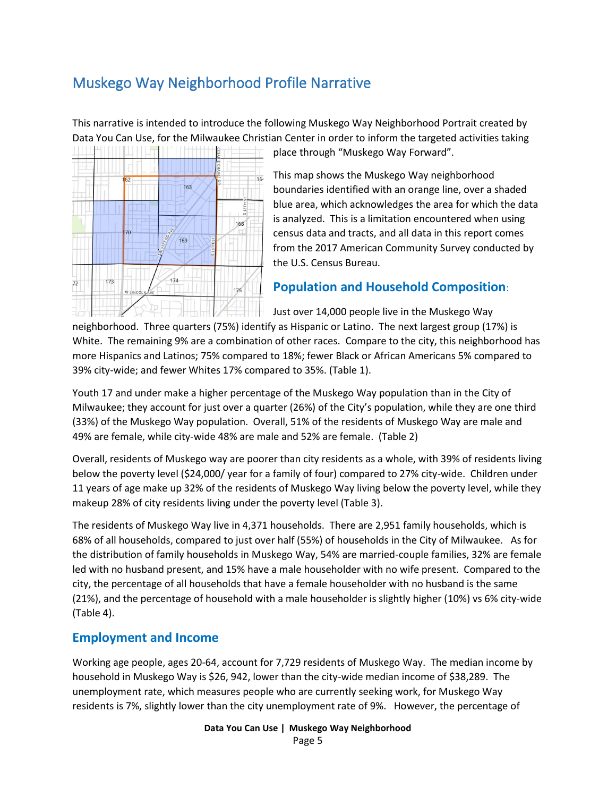#### <span id="page-4-0"></span>Muskego Way Neighborhood Profile Narrative

This narrative is intended to introduce the following Muskego Way Neighborhood Portrait created by Data You Can Use, for the Milwaukee Christian Center in order to inform the targeted activities taking



place through "Muskego Way Forward".

This map shows the Muskego Way neighborhood boundaries identified with an orange line, over a shaded blue area, which acknowledges the area for which the data is analyzed. This is a limitation encountered when using census data and tracts, and all data in this report comes from the 2017 American Community Survey conducted by the U.S. Census Bureau.

#### **Population and Household Composition**:

Just over 14,000 people live in the Muskego Way neighborhood. Three quarters (75%) identify as Hispanic or Latino. The next largest group (17%) is White. The remaining 9% are a combination of other races. Compare to the city, this neighborhood has more Hispanics and Latinos; 75% compared to 18%; fewer Black or African Americans 5% compared to 39% city-wide; and fewer Whites 17% compared to 35%. (Table 1).

Youth 17 and under make a higher percentage of the Muskego Way population than in the City of Milwaukee; they account for just over a quarter (26%) of the City's population, while they are one third (33%) of the Muskego Way population. Overall, 51% of the residents of Muskego Way are male and 49% are female, while city-wide 48% are male and 52% are female. (Table 2)

Overall, residents of Muskego way are poorer than city residents as a whole, with 39% of residents living below the poverty level (\$24,000/ year for a family of four) compared to 27% city-wide. Children under 11 years of age make up 32% of the residents of Muskego Way living below the poverty level, while they makeup 28% of city residents living under the poverty level (Table 3).

The residents of Muskego Way live in 4,371 households. There are 2,951 family households, which is 68% of all households, compared to just over half (55%) of households in the City of Milwaukee. As for the distribution of family households in Muskego Way, 54% are married-couple families, 32% are female led with no husband present, and 15% have a male householder with no wife present. Compared to the city, the percentage of all households that have a female householder with no husband is the same (21%), and the percentage of household with a male householder is slightly higher (10%) vs 6% city-wide (Table 4).

#### **Employment and Income**

Working age people, ages 20-64, account for 7,729 residents of Muskego Way. The median income by household in Muskego Way is \$26, 942, lower than the city-wide median income of \$38,289. The unemployment rate, which measures people who are currently seeking work, for Muskego Way residents is 7%, slightly lower than the city unemployment rate of 9%. However, the percentage of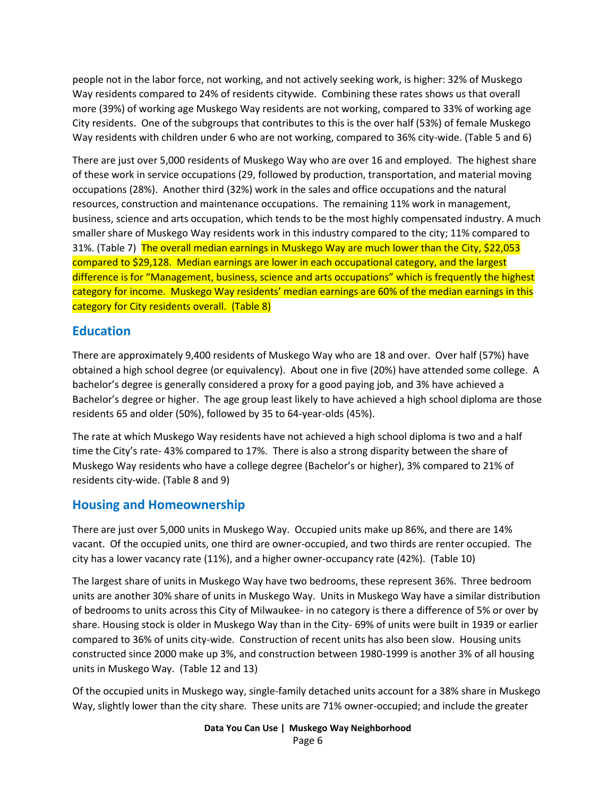people not in the labor force, not working, and not actively seeking work, is higher: 32% of Muskego Way residents compared to 24% of residents citywide. Combining these rates shows us that overall more (39%) of working age Muskego Way residents are not working, compared to 33% of working age City residents. One of the subgroups that contributes to this is the over half (53%) of female Muskego Way residents with children under 6 who are not working, compared to 36% city-wide. (Table 5 and 6)

There are just over 5,000 residents of Muskego Way who are over 16 and employed. The highest share of these work in service occupations (29, followed by production, transportation, and material moving occupations (28%). Another third (32%) work in the sales and office occupations and the natural resources, construction and maintenance occupations. The remaining 11% work in management, business, science and arts occupation, which tends to be the most highly compensated industry. A much smaller share of Muskego Way residents work in this industry compared to the city; 11% compared to 31%. (Table 7) The overall median earnings in Muskego Way are much lower than the City, \$22,053 compared to \$29,128. Median earnings are lower in each occupational category, and the largest difference is for "Management, business, science and arts occupations" which is frequently the highest category for income. Muskego Way residents' median earnings are 60% of the median earnings in this category for City residents overall. (Table 8)

#### **Education**

There are approximately 9,400 residents of Muskego Way who are 18 and over. Over half (57%) have obtained a high school degree (or equivalency). About one in five (20%) have attended some college. A bachelor's degree is generally considered a proxy for a good paying job, and 3% have achieved a Bachelor's degree or higher. The age group least likely to have achieved a high school diploma are those residents 65 and older (50%), followed by 35 to 64-year-olds (45%).

The rate at which Muskego Way residents have not achieved a high school diploma is two and a half time the City's rate- 43% compared to 17%. There is also a strong disparity between the share of Muskego Way residents who have a college degree (Bachelor's or higher), 3% compared to 21% of residents city-wide. (Table 8 and 9)

#### **Housing and Homeownership**

There are just over 5,000 units in Muskego Way. Occupied units make up 86%, and there are 14% vacant. Of the occupied units, one third are owner-occupied, and two thirds are renter occupied. The city has a lower vacancy rate (11%), and a higher owner-occupancy rate (42%). (Table 10)

The largest share of units in Muskego Way have two bedrooms, these represent 36%. Three bedroom units are another 30% share of units in Muskego Way. Units in Muskego Way have a similar distribution of bedrooms to units across this City of Milwaukee- in no category is there a difference of 5% or over by share. Housing stock is older in Muskego Way than in the City- 69% of units were built in 1939 or earlier compared to 36% of units city-wide. Construction of recent units has also been slow. Housing units constructed since 2000 make up 3%, and construction between 1980-1999 is another 3% of all housing units in Muskego Way. (Table 12 and 13)

Of the occupied units in Muskego way, single-family detached units account for a 38% share in Muskego Way, slightly lower than the city share. These units are 71% owner-occupied; and include the greater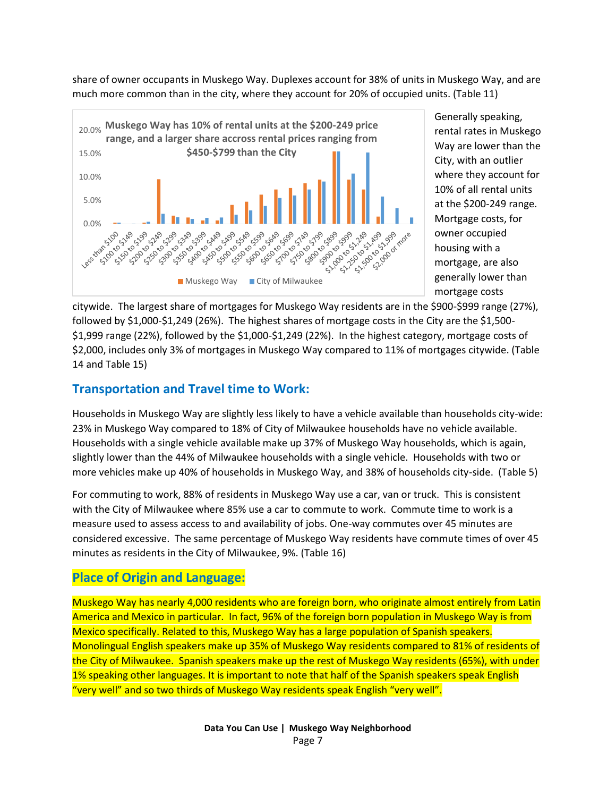share of owner occupants in Muskego Way. Duplexes account for 38% of units in Muskego Way, and are much more common than in the city, where they account for 20% of occupied units. (Table 11)



Generally speaking, rental rates in Muskego Way are lower than the City, with an outlier where they account for 10% of all rental units at the \$200-249 range. Mortgage costs, for owner occupied housing with a mortgage, are also generally lower than mortgage costs

citywide. The largest share of mortgages for Muskego Way residents are in the \$900-\$999 range (27%), followed by \$1,000-\$1,249 (26%). The highest shares of mortgage costs in the City are the \$1,500- \$1,999 range (22%), followed by the \$1,000-\$1,249 (22%). In the highest category, mortgage costs of \$2,000, includes only 3% of mortgages in Muskego Way compared to 11% of mortgages citywide. (Table 14 and Table 15)

#### **Transportation and Travel time to Work:**

Households in Muskego Way are slightly less likely to have a vehicle available than households city-wide: 23% in Muskego Way compared to 18% of City of Milwaukee households have no vehicle available. Households with a single vehicle available make up 37% of Muskego Way households, which is again, slightly lower than the 44% of Milwaukee households with a single vehicle. Households with two or more vehicles make up 40% of households in Muskego Way, and 38% of households city-side. (Table 5)

For commuting to work, 88% of residents in Muskego Way use a car, van or truck. This is consistent with the City of Milwaukee where 85% use a car to commute to work. Commute time to work is a measure used to assess access to and availability of jobs. One-way commutes over 45 minutes are considered excessive. The same percentage of Muskego Way residents have commute times of over 45 minutes as residents in the City of Milwaukee, 9%. (Table 16)

#### **Place of Origin and Language:**

Muskego Way has nearly 4,000 residents who are foreign born, who originate almost entirely from Latin America and Mexico in particular. In fact, 96% of the foreign born population in Muskego Way is from Mexico specifically. Related to this, Muskego Way has a large population of Spanish speakers. Monolingual English speakers make up 35% of Muskego Way residents compared to 81% of residents of the City of Milwaukee. Spanish speakers make up the rest of Muskego Way residents (65%), with under 1% speaking other languages. It is important to note that half of the Spanish speakers speak English "very well" and so two thirds of Muskego Way residents speak English "very well".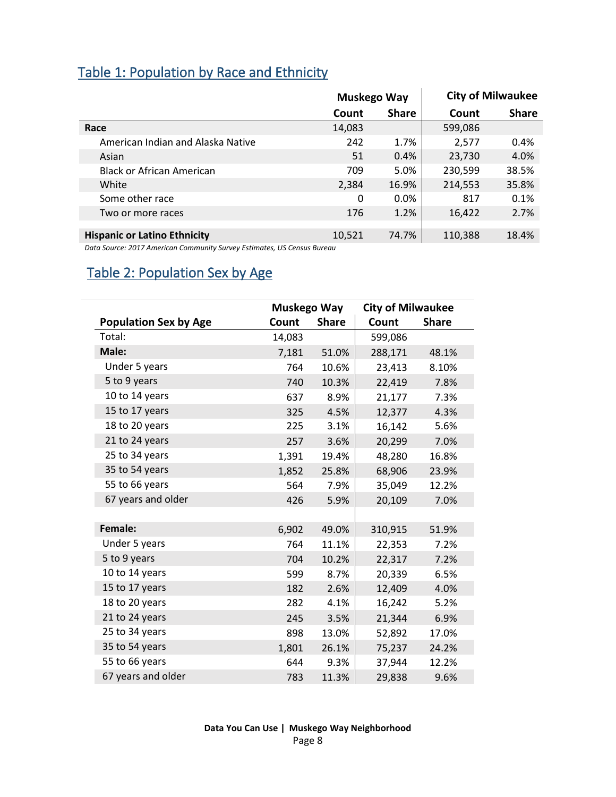#### <span id="page-7-0"></span>Table 1: Population by Race and Ethnicity

|                                     | Muskego Way |              | <b>City of Milwaukee</b> |              |
|-------------------------------------|-------------|--------------|--------------------------|--------------|
|                                     | Count       | <b>Share</b> | Count                    | <b>Share</b> |
| Race                                | 14,083      |              | 599,086                  |              |
| American Indian and Alaska Native   | 242         | 1.7%         | 2,577                    | 0.4%         |
| Asian                               | 51          | 0.4%         | 23,730                   | 4.0%         |
| <b>Black or African American</b>    | 709         | 5.0%         | 230,599                  | 38.5%        |
| White                               | 2,384       | 16.9%        | 214,553                  | 35.8%        |
| Some other race                     | 0           | $0.0\%$      | 817                      | 0.1%         |
| Two or more races                   | 176         | 1.2%         | 16,422                   | 2.7%         |
|                                     |             |              |                          |              |
| <b>Hispanic or Latino Ethnicity</b> | 10,521      | 74.7%        | 110,388                  | 18.4%        |

*Data Source: 2017 American Community Survey Estimates, US Census Bureau*

#### <span id="page-7-1"></span>Table 2: Population Sex by Age

|                              |        | Muskego Way  |         | <b>City of Milwaukee</b> |
|------------------------------|--------|--------------|---------|--------------------------|
| <b>Population Sex by Age</b> | Count  | <b>Share</b> | Count   | <b>Share</b>             |
| Total:                       | 14,083 |              | 599,086 |                          |
| Male:                        | 7,181  | 51.0%        | 288,171 | 48.1%                    |
| Under 5 years                | 764    | 10.6%        | 23,413  | 8.10%                    |
| 5 to 9 years                 | 740    | 10.3%        | 22,419  | 7.8%                     |
| 10 to 14 years               | 637    | 8.9%         | 21,177  | 7.3%                     |
| 15 to 17 years               | 325    | 4.5%         | 12,377  | 4.3%                     |
| 18 to 20 years               | 225    | 3.1%         | 16,142  | 5.6%                     |
| 21 to 24 years               | 257    | 3.6%         | 20,299  | 7.0%                     |
| 25 to 34 years               | 1,391  | 19.4%        | 48,280  | 16.8%                    |
| 35 to 54 years               | 1,852  | 25.8%        | 68,906  | 23.9%                    |
| 55 to 66 years               | 564    | 7.9%         | 35,049  | 12.2%                    |
| 67 years and older           | 426    | 5.9%         | 20,109  | 7.0%                     |
|                              |        |              |         |                          |
| Female:                      | 6,902  | 49.0%        | 310,915 | 51.9%                    |
| Under 5 years                | 764    | 11.1%        | 22,353  | 7.2%                     |
| 5 to 9 years                 | 704    | 10.2%        | 22,317  | 7.2%                     |
| 10 to 14 years               | 599    | 8.7%         | 20,339  | 6.5%                     |
| 15 to 17 years               | 182    | 2.6%         | 12,409  | 4.0%                     |
| 18 to 20 years               | 282    | 4.1%         | 16,242  | 5.2%                     |
| 21 to 24 years               | 245    | 3.5%         | 21,344  | 6.9%                     |
| 25 to 34 years               | 898    | 13.0%        | 52,892  | 17.0%                    |
| 35 to 54 years               | 1,801  | 26.1%        | 75,237  | 24.2%                    |
| 55 to 66 years               | 644    | 9.3%         | 37,944  | 12.2%                    |
| 67 years and older           | 783    | 11.3%        | 29,838  | 9.6%                     |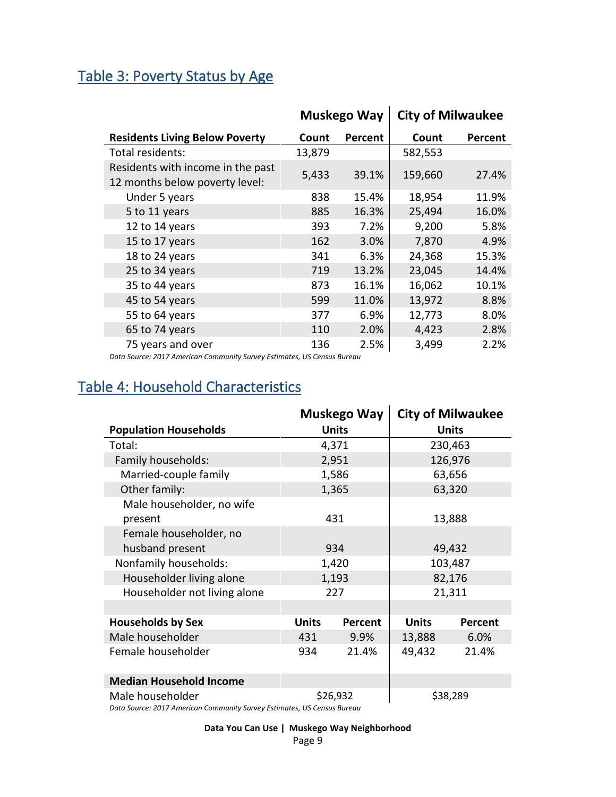#### <span id="page-8-0"></span>Table 3: Poverty Status by Age

|                                                                     |        | Muskego Way | <b>City of Milwaukee</b> |         |
|---------------------------------------------------------------------|--------|-------------|--------------------------|---------|
| <b>Residents Living Below Poverty</b>                               | Count  | Percent     | Count                    | Percent |
| Total residents:                                                    | 13,879 |             | 582,553                  |         |
| Residents with income in the past<br>12 months below poverty level: | 5,433  | 39.1%       | 159,660                  | 27.4%   |
| Under 5 years                                                       | 838    | 15.4%       | 18,954                   | 11.9%   |
| 5 to 11 years                                                       | 885    | 16.3%       | 25,494                   | 16.0%   |
| 12 to 14 years                                                      | 393    | 7.2%        | 9,200                    | 5.8%    |
| 15 to 17 years                                                      | 162    | 3.0%        | 7,870                    | 4.9%    |
| 18 to 24 years                                                      | 341    | 6.3%        | 24,368                   | 15.3%   |
| 25 to 34 years                                                      | 719    | 13.2%       | 23,045                   | 14.4%   |
| 35 to 44 years                                                      | 873    | 16.1%       | 16,062                   | 10.1%   |
| 45 to 54 years                                                      | 599    | 11.0%       | 13,972                   | 8.8%    |
| 55 to 64 years                                                      | 377    | 6.9%        | 12,773                   | 8.0%    |
| 65 to 74 years                                                      | 110    | 2.0%        | 4,423                    | 2.8%    |
| 75 years and over                                                   | 136    | 2.5%        | 3,499                    | 2.2%    |

*Data Source: 2017 American Community Survey Estimates, US Census Bureau*

#### <span id="page-8-1"></span>Table 4: Household Characteristics

|                                |              | <b>Muskego Way</b> |              | <b>City of Milwaukee</b> |  |
|--------------------------------|--------------|--------------------|--------------|--------------------------|--|
| <b>Population Households</b>   |              | <b>Units</b>       |              | <b>Units</b>             |  |
| Total:                         |              | 4,371              |              | 230,463                  |  |
| Family households:             |              | 2,951              |              | 126,976                  |  |
| Married-couple family          |              | 1,586              |              | 63,656                   |  |
| Other family:                  |              | 1,365              |              | 63,320                   |  |
| Male householder, no wife      |              |                    |              |                          |  |
| present                        |              | 431                |              | 13,888                   |  |
| Female householder, no         |              |                    |              |                          |  |
| husband present                |              | 934                | 49,432       |                          |  |
| Nonfamily households:          |              | 1,420              | 103,487      |                          |  |
| Householder living alone       |              | 1,193              | 82,176       |                          |  |
| Householder not living alone   |              | 227                | 21,311       |                          |  |
|                                |              |                    |              |                          |  |
| <b>Households by Sex</b>       | <b>Units</b> | Percent            | <b>Units</b> | <b>Percent</b>           |  |
| Male householder               | 431          | 9.9%               | 13,888       | 6.0%                     |  |
| Female householder             | 934          | 21.4%              | 49,432       | 21.4%                    |  |
| <b>Median Household Income</b> |              |                    |              |                          |  |
| Male householder               | \$26,932     |                    | \$38,289     |                          |  |

*Data Source: 2017 American Community Survey Estimates, US Census Bureau*

**Data You Can Use | Muskego Way Neighborhood**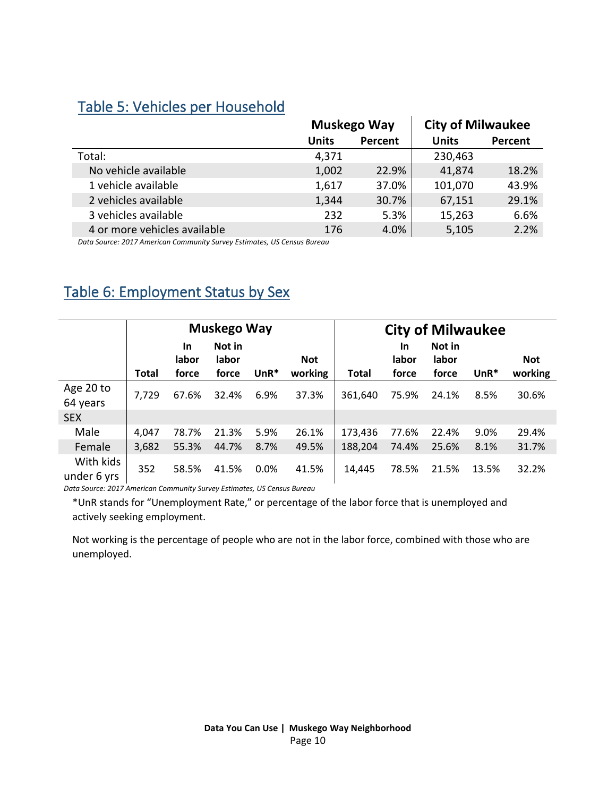#### <span id="page-9-0"></span>Table 5: Vehicles per Household

|                              |              | Muskego Way | <b>City of Milwaukee</b> |         |
|------------------------------|--------------|-------------|--------------------------|---------|
|                              | <b>Units</b> | Percent     | <b>Units</b>             | Percent |
| Total:                       | 4,371        |             | 230,463                  |         |
| No vehicle available         | 1,002        | 22.9%       | 41,874                   | 18.2%   |
| 1 vehicle available          | 1,617        | 37.0%       | 101,070                  | 43.9%   |
| 2 vehicles available         | 1,344        | 30.7%       | 67,151                   | 29.1%   |
| 3 vehicles available         | 232          | 5.3%        | 15,263                   | 6.6%    |
| 4 or more vehicles available | 176          | 4.0%        | 5,105                    | 2.2%    |

*Data Source: 2017 American Community Survey Estimates, US Census Bureau*

### <span id="page-9-1"></span>Table 6: Employment Status by Sex

|                          |              |                             | <b>Muskego Way</b>       |        |                       | <b>City of Milwaukee</b> |                             |                          |        |                       |
|--------------------------|--------------|-----------------------------|--------------------------|--------|-----------------------|--------------------------|-----------------------------|--------------------------|--------|-----------------------|
|                          | <b>Total</b> | <b>In</b><br>labor<br>force | Not in<br>labor<br>force | $UnR*$ | <b>Not</b><br>working | <b>Total</b>             | <b>In</b><br>labor<br>force | Not in<br>labor<br>force | $UnR*$ | <b>Not</b><br>working |
| Age 20 to<br>64 years    | 7,729        | 67.6%                       | 32.4%                    | 6.9%   | 37.3%                 | 361,640                  | 75.9%                       | 24.1%                    | 8.5%   | 30.6%                 |
| <b>SEX</b>               |              |                             |                          |        |                       |                          |                             |                          |        |                       |
| Male                     | 4,047        | 78.7%                       | 21.3%                    | 5.9%   | 26.1%                 | 173,436                  | 77.6%                       | 22.4%                    | 9.0%   | 29.4%                 |
| Female                   | 3,682        | 55.3%                       | 44.7%                    | 8.7%   | 49.5%                 | 188,204                  | 74.4%                       | 25.6%                    | 8.1%   | 31.7%                 |
| With kids<br>under 6 yrs | 352          | 58.5%                       | 41.5%                    | 0.0%   | 41.5%                 | 14,445                   | 78.5%                       | 21.5%                    | 13.5%  | 32.2%                 |

*Data Source: 2017 American Community Survey Estimates, US Census Bureau*

\*UnR stands for "Unemployment Rate," or percentage of the labor force that is unemployed and actively seeking employment.

Not working is the percentage of people who are not in the labor force, combined with those who are unemployed.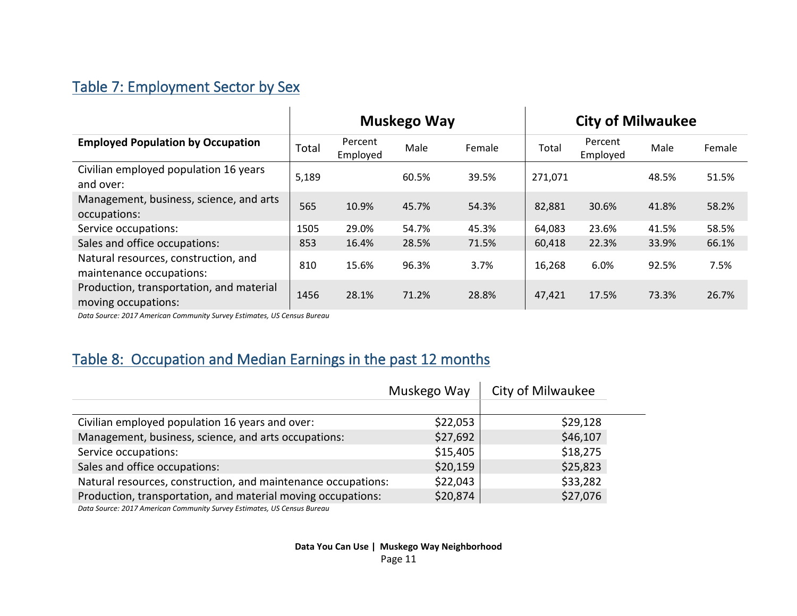## Table 7: Employment Sector by Sex

|                                                                  | Muskego Way |                     |       |        |         | <b>City of Milwaukee</b> |       |        |
|------------------------------------------------------------------|-------------|---------------------|-------|--------|---------|--------------------------|-------|--------|
| <b>Employed Population by Occupation</b>                         | Total       | Percent<br>Employed | Male  | Female | Total   | Percent<br>Employed      | Male  | Female |
| Civilian employed population 16 years<br>and over:               | 5,189       |                     | 60.5% | 39.5%  | 271,071 |                          | 48.5% | 51.5%  |
| Management, business, science, and arts<br>occupations:          | 565         | 10.9%               | 45.7% | 54.3%  | 82,881  | 30.6%                    | 41.8% | 58.2%  |
| Service occupations:                                             | 1505        | 29.0%               | 54.7% | 45.3%  | 64,083  | 23.6%                    | 41.5% | 58.5%  |
| Sales and office occupations:                                    | 853         | 16.4%               | 28.5% | 71.5%  | 60,418  | 22.3%                    | 33.9% | 66.1%  |
| Natural resources, construction, and<br>maintenance occupations: | 810         | 15.6%               | 96.3% | 3.7%   | 16,268  | 6.0%                     | 92.5% | 7.5%   |
| Production, transportation, and material<br>moving occupations:  | 1456        | 28.1%               | 71.2% | 28.8%  | 47,421  | 17.5%                    | 73.3% | 26.7%  |

 $\mathbf{r}$ 

<span id="page-10-0"></span>*Data Source: 2017 American Community Survey Estimates, US Census Bureau*

## Table 8: Occupation and Median Earnings in the past 12 months

 $\mathbf{r}$ 

<span id="page-10-1"></span>

|                                                                         | Muskego Way | City of Milwaukee |
|-------------------------------------------------------------------------|-------------|-------------------|
|                                                                         |             |                   |
| Civilian employed population 16 years and over:                         | \$22,053    | \$29,128          |
| Management, business, science, and arts occupations:                    | \$27,692    | \$46,107          |
| Service occupations:                                                    | \$15,405    | \$18,275          |
| Sales and office occupations:                                           | \$20,159    | \$25,823          |
| Natural resources, construction, and maintenance occupations:           | \$22,043    | \$33,282          |
| Production, transportation, and material moving occupations:            | \$20,874    | \$27,076          |
| Data Source: 2017 American Community Survey Estimates, US Census Bureau |             |                   |

**Data You Can Use | Muskego Way Neighborhood** Page 11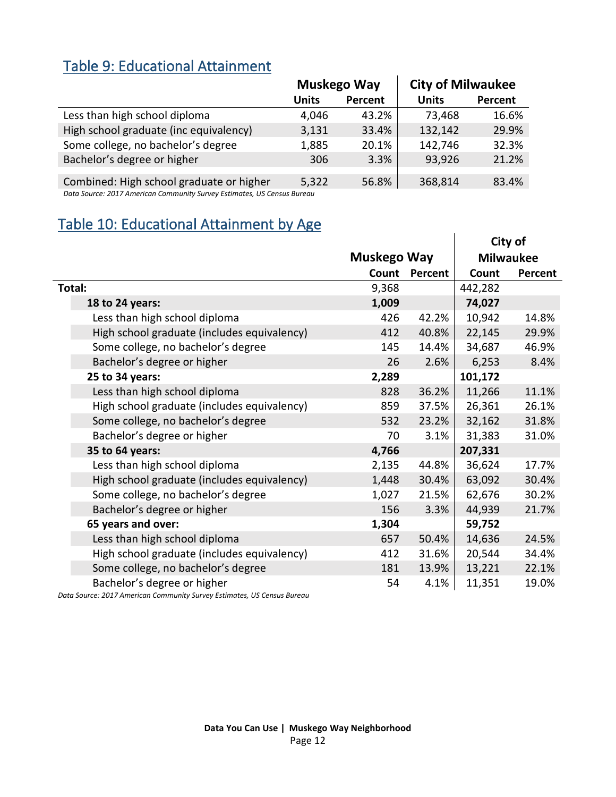#### <span id="page-11-0"></span>Table 9: Educational Attainment

|                                                                        |              | Muskego Way | <b>City of Milwaukee</b> |         |
|------------------------------------------------------------------------|--------------|-------------|--------------------------|---------|
|                                                                        | <b>Units</b> | Percent     | <b>Units</b>             | Percent |
| Less than high school diploma                                          | 4,046        | 43.2%       | 73,468                   | 16.6%   |
| High school graduate (inc equivalency)                                 | 3,131        | 33.4%       | 132,142                  | 29.9%   |
| Some college, no bachelor's degree                                     | 1,885        | 20.1%       | 142,746                  | 32.3%   |
| Bachelor's degree or higher                                            | 306          | 3.3%        | 93,926                   | 21.2%   |
|                                                                        |              |             |                          |         |
| Combined: High school graduate or higher                               | 5,322        | 56.8%       | 368,814                  | 83.4%   |
| Data Course 2017 American Community Curvey Estimates, UC Consus Burgay |              |             |                          |         |

*Data Source: 2017 American Community Survey Estimates, US Census Bureau*

#### <span id="page-11-1"></span>Table 10: Educational Attainment by Age

|                                             |                    |         |         | City of          |
|---------------------------------------------|--------------------|---------|---------|------------------|
|                                             | <b>Muskego Way</b> |         |         | <b>Milwaukee</b> |
|                                             | Count              | Percent | Count   | Percent          |
| Total:                                      | 9,368              |         | 442,282 |                  |
| 18 to 24 years:                             | 1,009              |         | 74,027  |                  |
| Less than high school diploma               | 426                | 42.2%   | 10,942  | 14.8%            |
| High school graduate (includes equivalency) | 412                | 40.8%   | 22,145  | 29.9%            |
| Some college, no bachelor's degree          | 145                | 14.4%   | 34,687  | 46.9%            |
| Bachelor's degree or higher                 | 26                 | 2.6%    | 6,253   | 8.4%             |
| 25 to 34 years:                             | 2,289              |         | 101,172 |                  |
| Less than high school diploma               | 828                | 36.2%   | 11,266  | 11.1%            |
| High school graduate (includes equivalency) | 859                | 37.5%   | 26,361  | 26.1%            |
| Some college, no bachelor's degree          | 532                | 23.2%   | 32,162  | 31.8%            |
| Bachelor's degree or higher                 | 70                 | 3.1%    | 31,383  | 31.0%            |
| 35 to 64 years:                             | 4,766              |         | 207,331 |                  |
| Less than high school diploma               | 2,135              | 44.8%   | 36,624  | 17.7%            |
| High school graduate (includes equivalency) | 1,448              | 30.4%   | 63,092  | 30.4%            |
| Some college, no bachelor's degree          | 1,027              | 21.5%   | 62,676  | 30.2%            |
| Bachelor's degree or higher                 | 156                | 3.3%    | 44,939  | 21.7%            |
| 65 years and over:                          | 1,304              |         | 59,752  |                  |
| Less than high school diploma               | 657                | 50.4%   | 14,636  | 24.5%            |
| High school graduate (includes equivalency) | 412                | 31.6%   | 20,544  | 34.4%            |
| Some college, no bachelor's degree          | 181                | 13.9%   | 13,221  | 22.1%            |
| Bachelor's degree or higher                 | 54                 | 4.1%    | 11,351  | 19.0%            |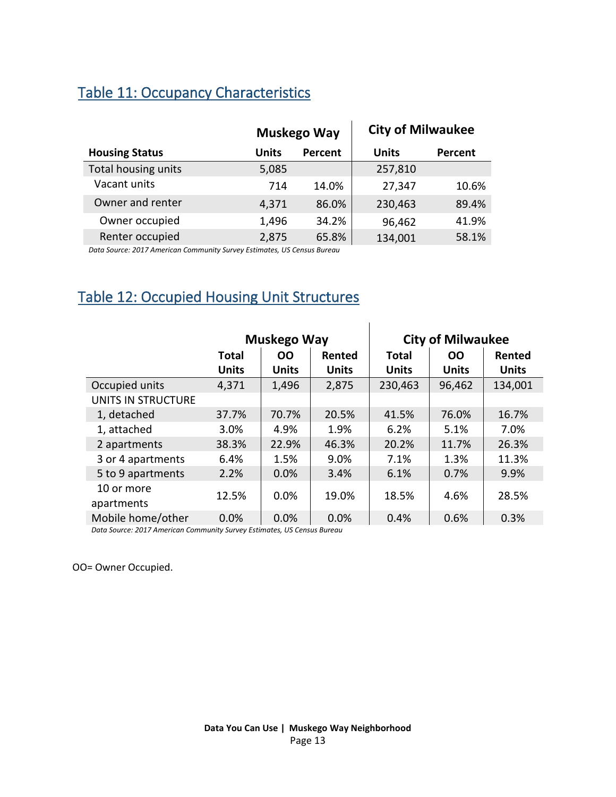### <span id="page-12-0"></span>Table 11: Occupancy Characteristics

|                       |       | Muskego Way | <b>City of Milwaukee</b> |         |
|-----------------------|-------|-------------|--------------------------|---------|
| <b>Housing Status</b> | Units | Percent     | Units                    | Percent |
| Total housing units   | 5,085 |             | 257,810                  |         |
| Vacant units          | 714   | 14.0%       | 27,347                   | 10.6%   |
| Owner and renter      | 4,371 | 86.0%       | 230,463                  | 89.4%   |
| Owner occupied        | 1,496 | 34.2%       | 96,462                   | 41.9%   |
| Renter occupied       | 2,875 | 65.8%       | 134,001                  | 58.1%   |

*Data Source: 2017 American Community Survey Estimates, US Census Bureau*

## <span id="page-12-1"></span>Table 12: Occupied Housing Unit Structures

|                          |              | Muskego Way         |              | <b>City of Milwaukee</b> |              |              |  |
|--------------------------|--------------|---------------------|--------------|--------------------------|--------------|--------------|--|
|                          | <b>Total</b> | <b>OO</b><br>Rented |              |                          | <b>OO</b>    | Rented       |  |
|                          | <b>Units</b> | <b>Units</b>        | <b>Units</b> | <b>Units</b>             | <b>Units</b> | <b>Units</b> |  |
| Occupied units           | 4,371        | 1,496               | 2,875        | 230,463                  | 96,462       | 134,001      |  |
| UNITS IN STRUCTURE       |              |                     |              |                          |              |              |  |
| 1, detached              | 37.7%        | 70.7%               | 20.5%        | 41.5%                    | 76.0%        | 16.7%        |  |
| 1, attached              | 3.0%         | 4.9%                | 1.9%         | 6.2%                     | 5.1%         | 7.0%         |  |
| 2 apartments             | 38.3%        | 22.9%               | 46.3%        | 20.2%                    | 11.7%        | 26.3%        |  |
| 3 or 4 apartments        | 6.4%         | 1.5%                | 9.0%         | 7.1%                     | 1.3%         | 11.3%        |  |
| 5 to 9 apartments        | 2.2%         | 0.0%                | 3.4%         | 6.1%                     | 0.7%         | 9.9%         |  |
| 10 or more<br>apartments | 12.5%        | 0.0%                | 19.0%        | 18.5%                    | 4.6%         | 28.5%        |  |
| Mobile home/other        | 0.0%         | 0.0%                | 0.0%         | 0.4%                     | 0.6%         | 0.3%         |  |

*Data Source: 2017 American Community Survey Estimates, US Census Bureau*

OO= Owner Occupied.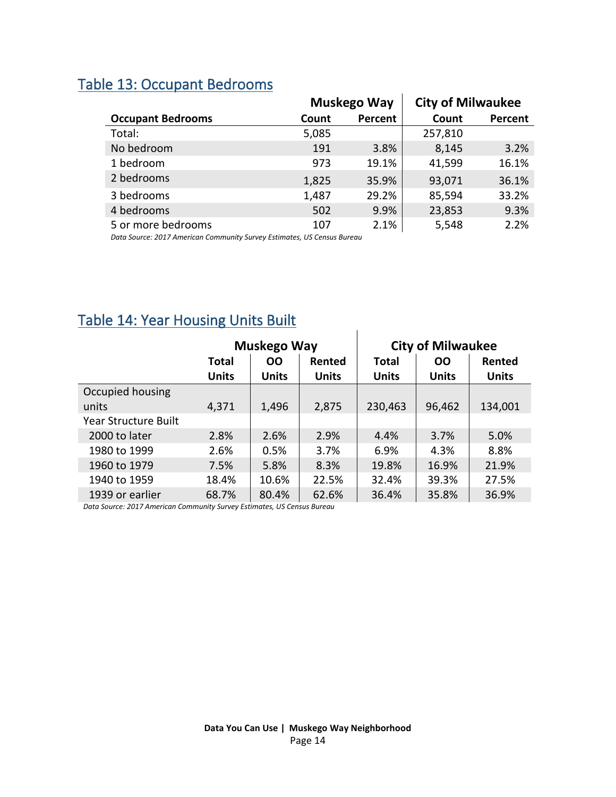<span id="page-13-0"></span>

| <b>Table 13: Occupant Bedrooms</b> |  |
|------------------------------------|--|
|------------------------------------|--|

|                          |       | <b>Muskego Way</b> | <b>City of Milwaukee</b> |         |  |  |
|--------------------------|-------|--------------------|--------------------------|---------|--|--|
| <b>Occupant Bedrooms</b> | Count | Percent            | Count                    | Percent |  |  |
| Total:                   | 5,085 |                    | 257,810                  |         |  |  |
| No bedroom               | 191   | 3.8%               | 8,145                    | 3.2%    |  |  |
| 1 bedroom                | 973   | 19.1%              | 41,599                   | 16.1%   |  |  |
| 2 bedrooms               | 1,825 | 35.9%              | 93,071                   | 36.1%   |  |  |
| 3 bedrooms               | 1,487 | 29.2%              | 85,594                   | 33.2%   |  |  |
| 4 bedrooms               | 502   | 9.9%               | 23,853                   | 9.3%    |  |  |
| 5 or more bedrooms       | 107   | 2.1%               | 5,548                    | 2.2%    |  |  |

*Data Source: 2017 American Community Survey Estimates, US Census Bureau*

|                             |                                     | Muskego Way  |              |              | <b>City of Milwaukee</b> |              |  |  |
|-----------------------------|-------------------------------------|--------------|--------------|--------------|--------------------------|--------------|--|--|
|                             | <b>Total</b><br><b>OO</b><br>Rented |              | <b>Total</b> | Rented       |                          |              |  |  |
|                             | <b>Units</b>                        | <b>Units</b> | <b>Units</b> | <b>Units</b> | <b>Units</b>             | <b>Units</b> |  |  |
| Occupied housing            |                                     |              |              |              |                          |              |  |  |
| units                       | 4,371                               | 1,496        | 2,875        | 230,463      | 96,462                   | 134,001      |  |  |
| <b>Year Structure Built</b> |                                     |              |              |              |                          |              |  |  |
| 2000 to later               | 2.8%                                | 2.6%         | 2.9%         | 4.4%         | 3.7%                     | 5.0%         |  |  |
| 1980 to 1999                | 2.6%                                | 0.5%         | 3.7%         | 6.9%         | 4.3%                     | 8.8%         |  |  |
| 1960 to 1979                | 7.5%                                | 5.8%         | 8.3%         | 19.8%        | 16.9%                    | 21.9%        |  |  |
| 1940 to 1959                | 18.4%                               | 10.6%        | 22.5%        | 32.4%        | 39.3%                    | 27.5%        |  |  |
| 1939 or earlier             | 68.7%                               | 80.4%        | 62.6%        | 36.4%        | 35.8%                    | 36.9%        |  |  |

#### <span id="page-13-1"></span>Table 14: Year Housing Units Built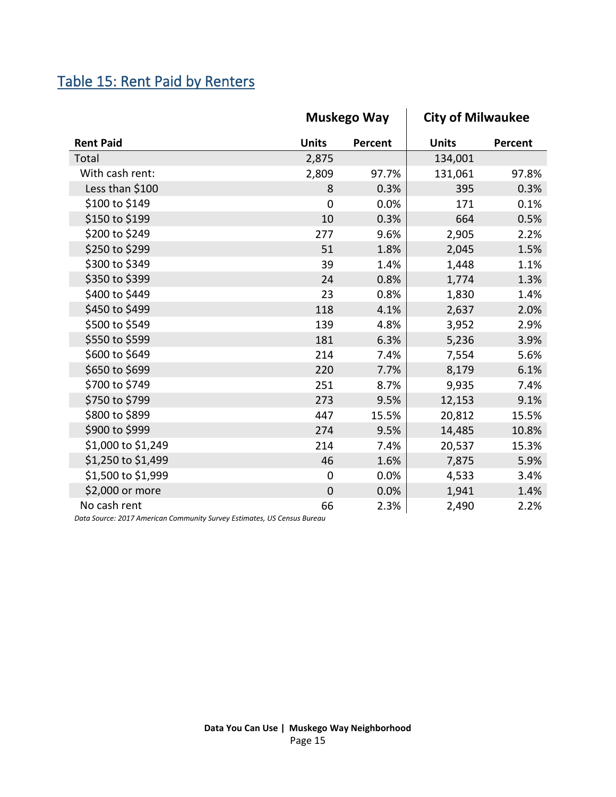## <span id="page-14-0"></span>Table 15: Rent Paid by Renters

|                    |                | <b>Muskego Way</b> | <b>City of Milwaukee</b> |         |  |
|--------------------|----------------|--------------------|--------------------------|---------|--|
| <b>Rent Paid</b>   | <b>Units</b>   | Percent            | <b>Units</b>             | Percent |  |
| Total              | 2,875          |                    | 134,001                  |         |  |
| With cash rent:    | 2,809          | 97.7%              | 131,061                  | 97.8%   |  |
| Less than \$100    | 8              | 0.3%               | 395                      | 0.3%    |  |
| \$100 to \$149     | 0              | 0.0%               | 171                      | 0.1%    |  |
| \$150 to \$199     | 10             | 0.3%               | 664                      | 0.5%    |  |
| \$200 to \$249     | 277            | 9.6%               | 2,905                    | 2.2%    |  |
| \$250 to \$299     | 51             | 1.8%               | 2,045                    | 1.5%    |  |
| \$300 to \$349     | 39             | 1.4%               | 1,448                    | 1.1%    |  |
| \$350 to \$399     | 24             | 0.8%               | 1,774                    | 1.3%    |  |
| \$400 to \$449     | 23             | 0.8%               | 1,830                    | 1.4%    |  |
| \$450 to \$499     | 118            | 4.1%               | 2,637                    | 2.0%    |  |
| \$500 to \$549     | 139            | 4.8%               | 3,952                    | 2.9%    |  |
| \$550 to \$599     | 181            | 6.3%               | 5,236                    | 3.9%    |  |
| \$600 to \$649     | 214            | 7.4%               | 7,554                    | 5.6%    |  |
| \$650 to \$699     | 220            | 7.7%               | 8,179                    | 6.1%    |  |
| \$700 to \$749     | 251            | 8.7%               | 9,935                    | 7.4%    |  |
| \$750 to \$799     | 273            | 9.5%               | 12,153                   | 9.1%    |  |
| \$800 to \$899     | 447            | 15.5%              | 20,812                   | 15.5%   |  |
| \$900 to \$999     | 274            | 9.5%               | 14,485                   | 10.8%   |  |
| \$1,000 to \$1,249 | 214            | 7.4%               | 20,537                   | 15.3%   |  |
| \$1,250 to \$1,499 | 46             | 1.6%               | 7,875                    | 5.9%    |  |
| \$1,500 to \$1,999 | $\mathbf 0$    | 0.0%               | 4,533                    | 3.4%    |  |
| \$2,000 or more    | $\overline{0}$ | 0.0%               | 1,941                    | 1.4%    |  |
| No cash rent       | 66             | 2.3%               | 2,490                    | 2.2%    |  |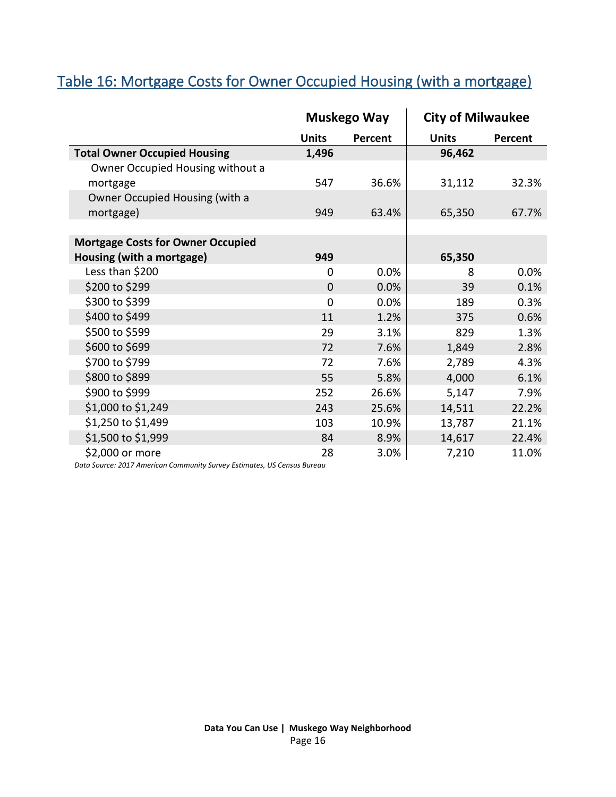## <span id="page-15-0"></span>Table 16: Mortgage Costs for Owner Occupied Housing (with a mortgage)

|                                          |              | <b>Muskego Way</b> | <b>City of Milwaukee</b> |         |  |
|------------------------------------------|--------------|--------------------|--------------------------|---------|--|
|                                          | <b>Units</b> | Percent            | <b>Units</b>             | Percent |  |
| <b>Total Owner Occupied Housing</b>      | 1,496        |                    | 96,462                   |         |  |
| Owner Occupied Housing without a         |              |                    |                          |         |  |
| mortgage                                 | 547          | 36.6%              | 31,112                   | 32.3%   |  |
| Owner Occupied Housing (with a           |              |                    |                          |         |  |
| mortgage)                                | 949          | 63.4%              | 65,350                   | 67.7%   |  |
|                                          |              |                    |                          |         |  |
| <b>Mortgage Costs for Owner Occupied</b> |              |                    |                          |         |  |
| Housing (with a mortgage)                | 949          |                    | 65,350                   |         |  |
| Less than \$200                          | 0            | 0.0%               | 8                        | 0.0%    |  |
| \$200 to \$299                           | $\mathbf{0}$ | 0.0%               | 39                       | 0.1%    |  |
| \$300 to \$399                           | $\Omega$     | 0.0%               | 189                      | 0.3%    |  |
| \$400 to \$499                           | 11           | 1.2%               | 375                      | 0.6%    |  |
| \$500 to \$599                           | 29           | 3.1%               | 829                      | 1.3%    |  |
| \$600 to \$699                           | 72           | 7.6%               | 1,849                    | 2.8%    |  |
| \$700 to \$799                           | 72           | 7.6%               | 2,789                    | 4.3%    |  |
| \$800 to \$899                           | 55           | 5.8%               | 4,000                    | 6.1%    |  |
| \$900 to \$999                           | 252          | 26.6%              | 5,147                    | 7.9%    |  |
| \$1,000 to \$1,249                       | 243          | 25.6%              | 14,511                   | 22.2%   |  |
| \$1,250 to \$1,499                       | 103          | 10.9%              | 13,787                   | 21.1%   |  |
| \$1,500 to \$1,999                       | 84           | 8.9%               | 14,617                   | 22.4%   |  |
| \$2,000 or more                          | 28           | 3.0%               | 7,210                    | 11.0%   |  |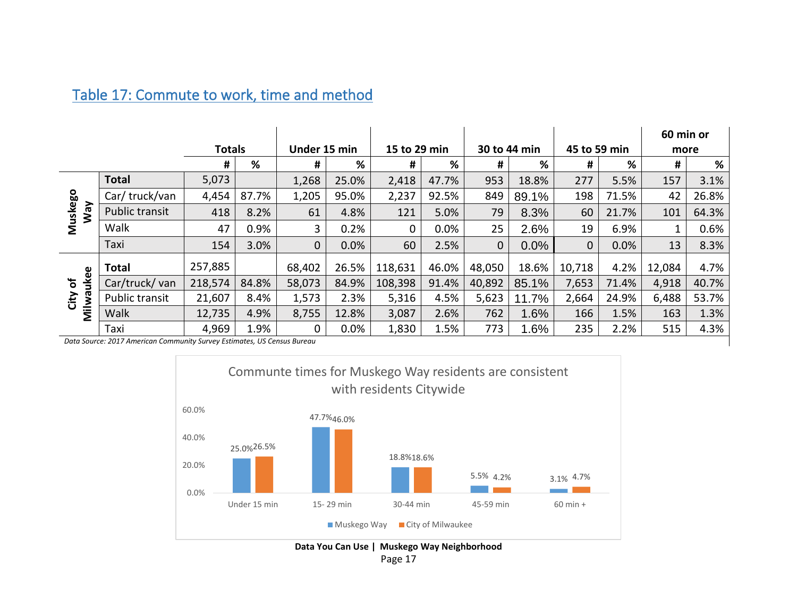#### Table 17: Commute to work, time and method

<span id="page-16-0"></span>

|                |                                                                         |               |       |              |       |              |       |              |       |              |       | 60 min or |       |
|----------------|-------------------------------------------------------------------------|---------------|-------|--------------|-------|--------------|-------|--------------|-------|--------------|-------|-----------|-------|
|                |                                                                         | <b>Totals</b> |       | Under 15 min |       | 15 to 29 min |       | 30 to 44 min |       | 45 to 59 min |       | more      |       |
|                |                                                                         | #             | %     | #            | %     | #            | %     | #            | %     | #            | %     | #         | %     |
|                | <b>Total</b>                                                            | 5,073         |       | 1,268        | 25.0% | 2,418        | 47.7% | 953          | 18.8% | 277          | 5.5%  | 157       | 3.1%  |
|                | Car/truck/van                                                           | 4,454         | 87.7% | 1,205        | 95.0% | 2,237        | 92.5% | 849          | 89.1% | 198          | 71.5% | 42        | 26.8% |
| Muskego<br>VeW | Public transit                                                          | 418           | 8.2%  | 61           | 4.8%  | 121          | 5.0%  | 79           | 8.3%  | 60           | 21.7% | 101       | 64.3% |
|                | Walk                                                                    | 47            | 0.9%  | 3            | 0.2%  | 0            | 0.0%  | 25           | 2.6%  | 19           | 6.9%  |           | 0.6%  |
|                | Taxi                                                                    | 154           | 3.0%  | $\mathbf 0$  | 0.0%  | 60           | 2.5%  | 0            | 0.0%  | 0            | 0.0%  | 13        | 8.3%  |
|                | <b>Total</b>                                                            | 257,885       |       | 68,402       | 26.5% | 118,631      | 46.0% | 48,050       | 18.6% | 10,718       | 4.2%  | 12,084    | 4.7%  |
| ukee<br>Ⴆ      | Car/truck/ van                                                          | 218,574       | 84.8% | 58,073       | 84.9% | 108,398      | 91.4% | 40,892       | 85.1% | 7,653        | 71.4% | 4,918     | 40.7% |
| City           | Public transit                                                          | 21,607        | 8.4%  | 1,573        | 2.3%  | 5,316        | 4.5%  | 5,623        | 11.7% | 2,664        | 24.9% | 6,488     | 53.7% |
| Milwau         | Walk                                                                    | 12,735        | 4.9%  | 8,755        | 12.8% | 3,087        | 2.6%  | 762          | 1.6%  | 166          | 1.5%  | 163       | 1.3%  |
|                | Taxi                                                                    | 4,969         | 1.9%  | 0            | 0.0%  | 1,830        | 1.5%  | 773          | 1.6%  | 235          | 2.2%  | 515       | 4.3%  |
|                | Data Source: 2017 American Community Survey Estimates, US Census Bureau |               |       |              |       |              |       |              |       |              |       |           |       |